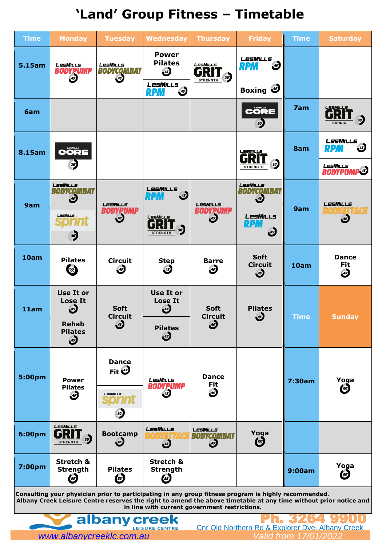

| <b>Time</b>   | <b>Monday</b>                                                              | <b>Tuesday</b>                                            | <b>Wednesday</b>                                               | <b>Thursday</b>                                     | <b>Friday</b>                                                     | <b>Time</b> | <b>Saturday</b>                                       |
|---------------|----------------------------------------------------------------------------|-----------------------------------------------------------|----------------------------------------------------------------|-----------------------------------------------------|-------------------------------------------------------------------|-------------|-------------------------------------------------------|
| 5.15am        | LesMills<br><b>BODYPUMP</b>                                                | LesMills<br><b>BODYCQMBAT</b><br>$\overline{\mathcal{L}}$ | <b>Power</b><br><b>Pilates</b><br>$\mathbf{d}$                 | LesMills<br>R<br>30 <sup>o</sup><br><b>STRENGTH</b> | LesMills<br>$\overline{\mathcal{A}^{5}}$<br><b>RPM</b>            |             |                                                       |
|               |                                                                            |                                                           | LesMills<br>$45^{\circ}$<br><b>RPM</b>                         |                                                     | Boxing 3                                                          |             |                                                       |
| 6am           |                                                                            |                                                           |                                                                |                                                     | <b>CÔRE</b><br>30 <sup>2</sup>                                    | 7am         | LesMILLs<br>30'<br><b>CARDIO</b>                      |
| <b>8.15am</b> | $\mathbf C$ ÖRE<br>30                                                      |                                                           |                                                                |                                                     | LesMills<br>30<br><b>STRENGTH</b>                                 | 8am         | LesMills<br>$\overline{\mathcal{A}^{5}}$<br>RPM       |
|               |                                                                            |                                                           |                                                                |                                                     |                                                                   |             | LesMills<br><b>BODYPUMP<sup>45</sup></b>              |
| 9am           | LesMILLs<br>BODYCQMBA1<br>$\left( \frac{45}{2} \right)$<br><b>LesMILLS</b> | <b>LesMILLs</b><br>DYPUMP<br>$\overline{\mathcal{A}^{5}}$ | <b>LesMILLs</b><br>$\overline{\mathcal{L}}$<br>R24<br>LesMILLs | <b>LesMILLs</b><br><b>BODYPUMP</b><br>45'           | <b>LesMILLs</b><br><i><b>СОМВАТ</b></i><br>45'<br><b>LESMILLS</b> | 9am         | LesMILLs<br><b>ZETTEGK</b><br>BOD<br>$\overline{45}$  |
|               | 30'                                                                        |                                                           | 30<br><b>STRENGTH</b>                                          |                                                     | RPM<br>$\mathbf{d}$                                               |             |                                                       |
| 10am          | <b>Pilates</b><br><b>EE</b>                                                | Circuit<br>( <i>s</i>                                     | Step<br>(45)                                                   | <b>Barre</b><br>$\bullet$                           | <b>Soft</b><br><b>Circuit</b><br>$\mathcal{F}$                    | 10am        | <b>Dance</b><br><b>Fit</b><br>$\overline{\mathbf{B}}$ |
| 11am          | <b>Use It or</b><br><b>Lose It</b><br>$\overline{\mathcal{A}^{5}}$         | <b>Soft</b><br><b>Circuit</b>                             | Use It or<br><b>Lose It</b><br>$\mathbf{F}$                    | <b>Soft</b><br><b>Circuit</b>                       | <b>Pilates</b><br>$\mathbf{J}$                                    | <b>Time</b> | <b>Sunday</b>                                         |
|               | <b>Rehab</b><br><b>Pilates</b><br>$\mathbf{J}$                             | $\overline{\mathcal{L}}$                                  | <b>Pilates</b><br>$\mathbf{J}$                                 | $\mathbf{d}$                                        |                                                                   |             |                                                       |
| 5:00pm        | <b>Power</b>                                                               | <b>Dance</b><br>Fit <sup>45</sup>                         | LesMills                                                       | <b>Dance</b><br><b>Fit</b>                          |                                                                   | 7:30am      | Yoga                                                  |
|               | <b>Pilates</b><br>$\mathbf{E}$                                             | LesMILLS                                                  | <b>BODYPUMP</b><br>$\overline{\mathbf{A}^2}$                   | $\overline{\mathbf{A}^{2}}$                         |                                                                   |             | $\binom{55}{ }$                                       |



**in line with current government restrictions.**

# **'Land' Group Fitness – Timetable**